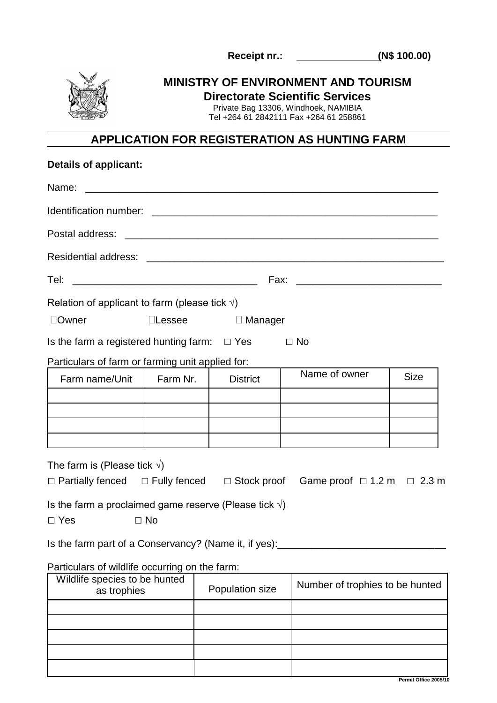**Receipt nr.: (N\$ 100.00)**



## **MINISTRY OF ENVIRONMENT AND TOURISM Directorate Scientific Services**

Private Bag 13306, Windhoek, NAMIBIA

Tel +264 61 2842111 Fax +264 61 258861

## **APPLICATION FOR REGISTERATION AS HUNTING FARM**

| <b>Details of applicant:</b>                                    |               |                                                    |  |                                                                                                     |             |
|-----------------------------------------------------------------|---------------|----------------------------------------------------|--|-----------------------------------------------------------------------------------------------------|-------------|
| Name:                                                           |               |                                                    |  |                                                                                                     |             |
|                                                                 |               |                                                    |  |                                                                                                     |             |
| Postal address:                                                 |               |                                                    |  |                                                                                                     |             |
|                                                                 |               |                                                    |  |                                                                                                     |             |
| Tel:                                                            |               |                                                    |  |                                                                                                     |             |
| Relation of applicant to farm (please tick $\sqrt{ }$ )         |               |                                                    |  |                                                                                                     |             |
| □Owner                                                          | $\Box$ Lessee | $\Box$ Manager                                     |  |                                                                                                     |             |
| Is the farm a registered hunting farm: $\Box$ Yes               |               |                                                    |  | $\Box$ No                                                                                           |             |
| Particulars of farm or farming unit applied for:                |               |                                                    |  |                                                                                                     |             |
| Farm name/Unit                                                  | Farm Nr.      | <b>District</b>                                    |  | Name of owner                                                                                       | <b>Size</b> |
|                                                                 |               |                                                    |  |                                                                                                     |             |
|                                                                 |               |                                                    |  |                                                                                                     |             |
|                                                                 |               |                                                    |  |                                                                                                     |             |
|                                                                 |               |                                                    |  |                                                                                                     |             |
| The farm is (Please tick $\sqrt{ }$ )                           |               |                                                    |  |                                                                                                     |             |
|                                                                 |               |                                                    |  | $\Box$ Partially fenced $\Box$ Fully fenced $\Box$ Stock proof Game proof $\Box$ 1.2 m $\Box$ 2.3 m |             |
| Is the farm a proclaimed game reserve (Please tick $\sqrt{ }$ ) |               |                                                    |  |                                                                                                     |             |
| $\Box$ Yes                                                      | $\Box$ No     |                                                    |  |                                                                                                     |             |
| Is the farm part of a Conservancy? (Name it, if yes):           |               |                                                    |  |                                                                                                     |             |
| Particulars of wildlife occurring on the farm:                  |               |                                                    |  |                                                                                                     |             |
| Wildlife species to be hunted<br>as trophies                    |               | Number of trophies to be hunted<br>Population size |  |                                                                                                     |             |
|                                                                 |               |                                                    |  |                                                                                                     |             |